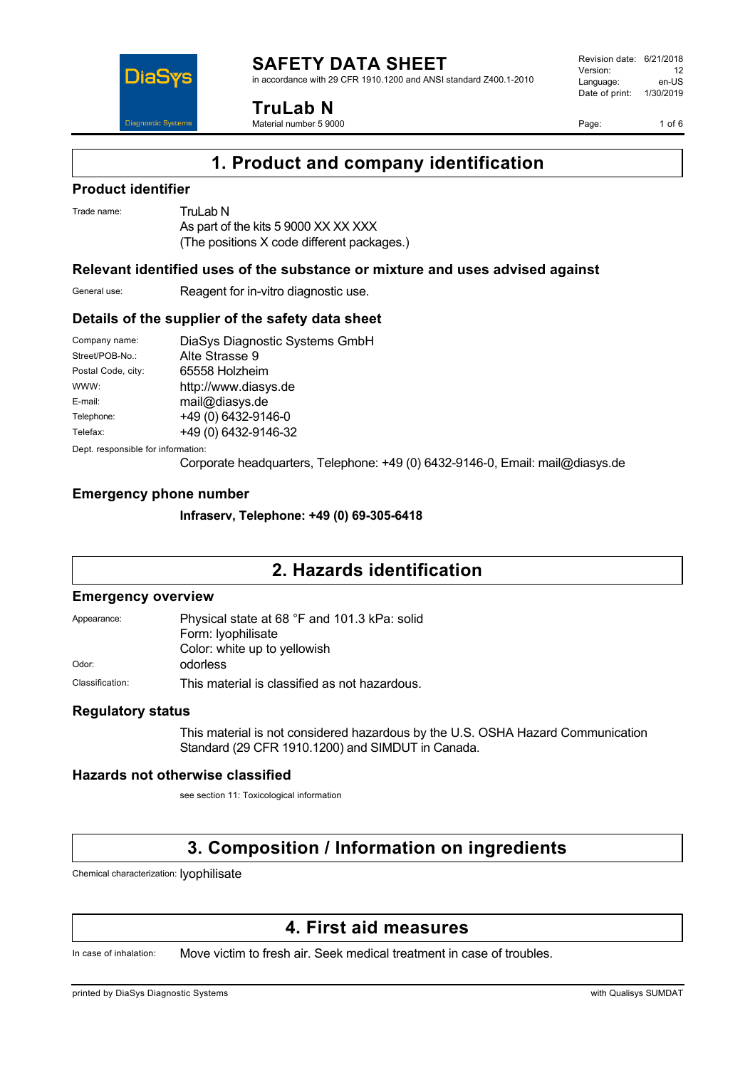

in accordance with 29 CFR 1910.1200 and ANSI standard Z400.1-2010



**TruLab N** Material number 5 9000

Revision date: 6/21/2018 Version: 12<br>Language: en-LIS Language: Date of print: 1/30/2019

Page: 1 of 6

# **1. Product and company identification**

### **Product identifier**

Trade name: Trul ab N As part of the kits 5 9000 XX XX XXX (The positions X code different packages.)

### **Relevant identified uses of the substance or mixture and uses advised against**

General use: Reagent for in-vitro diagnostic use.

### **Details of the supplier of the safety data sheet**

| Company name:      | DiaSys Diagnostic Systems GmbH |
|--------------------|--------------------------------|
| Street/POB-No.:    | Alte Strasse 9                 |
| Postal Code, city: | 65558 Holzheim                 |
| WWW:               | http://www.diasys.de           |
| E-mail:            | mail@diasys.de                 |
| Telephone:         | +49 (0) 6432-9146-0            |
| Telefax:           | +49 (0) 6432-9146-32           |
|                    |                                |

Dept. responsible for information:

Corporate headquarters, Telephone: +49 (0) 6432-9146-0, Email: mail@diasys.de

### **Emergency phone number**

**Infraserv, Telephone: +49 (0) 69-305-6418**

# **2. Hazards identification**

#### **Emergency overview**

| Appearance:     | Physical state at 68 °F and 101.3 kPa: solid  |  |
|-----------------|-----------------------------------------------|--|
|                 | Form: lyophilisate                            |  |
|                 | Color: white up to yellowish                  |  |
| Odor:           | odorless                                      |  |
| Classification: | This material is classified as not hazardous. |  |

### **Regulatory status**

This material is not considered hazardous by the U.S. OSHA Hazard Communication Standard (29 CFR 1910.1200) and SIMDUT in Canada.

### **Hazards not otherwise classified**

see section 11: Toxicological information

# **3. Composition / Information on ingredients**

Chemical characterization: lyophilisate

# **4. First aid measures**

In case of inhalation: Move victim to fresh air. Seek medical treatment in case of troubles.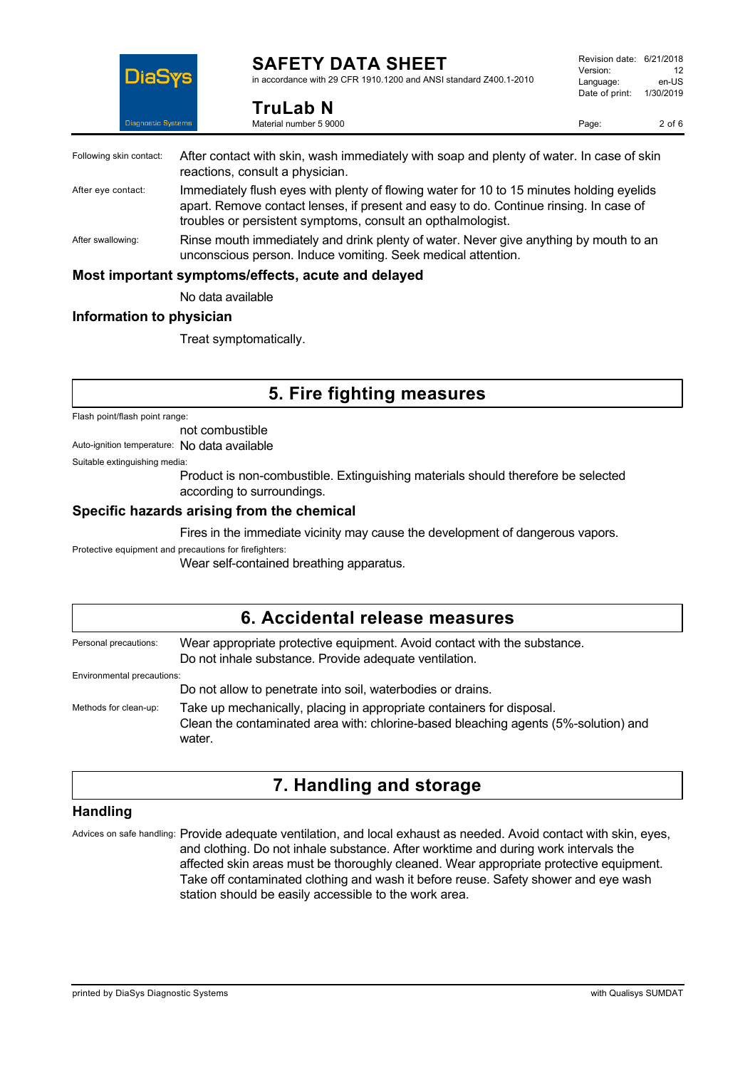

**TruLab N** Material number 5 9000

in accordance with 29 CFR 1910.1200 and ANSI standard Z400.1-2010

Page: 2 of 6

| Following skin contact: | After contact with skin, wash immediately with soap and plenty of water. In case of skin<br>reactions, consult a physician.                                                                                                                      |
|-------------------------|--------------------------------------------------------------------------------------------------------------------------------------------------------------------------------------------------------------------------------------------------|
| After eye contact:      | Immediately flush eyes with plenty of flowing water for 10 to 15 minutes holding eyelids<br>apart. Remove contact lenses, if present and easy to do. Continue rinsing. In case of<br>troubles or persistent symptoms, consult an opthalmologist. |
| After swallowing:       | Rinse mouth immediately and drink plenty of water. Never give anything by mouth to an<br>unconscious person. Induce vomiting. Seek medical attention.                                                                                            |
|                         | Most important symptoms/effects, acute and delayed                                                                                                                                                                                               |
|                         | No data available                                                                                                                                                                                                                                |

### **Information to physician**

Treat symptomatically.

# **5. Fire fighting measures**

Flash point/flash point range:

not combustible

Auto-ignition temperature: No data available

Suitable extinguishing media:

Product is non-combustible. Extinguishing materials should therefore be selected according to surroundings.

### **Specific hazards arising from the chemical**

Fires in the immediate vicinity may cause the development of dangerous vapors.

Protective equipment and precautions for firefighters:

Wear self-contained breathing apparatus.

## **6. Accidental release measures** Personal precautions: Wear appropriate protective equipment. Avoid contact with the substance. Do not inhale substance. Provide adequate ventilation. Environmental precautions: Do not allow to penetrate into soil, waterbodies or drains. Methods for clean-up: Take up mechanically, placing in appropriate containers for disposal. Clean the contaminated area with: chlorine-based bleaching agents (5%-solution) and water.

# **7. Handling and storage**

### **Handling**

Advices on safe handling: Provide adequate ventilation, and local exhaust as needed. Avoid contact with skin, eyes, and clothing. Do not inhale substance. After worktime and during work intervals the affected skin areas must be thoroughly cleaned. Wear appropriate protective equipment. Take off contaminated clothing and wash it before reuse. Safety shower and eye wash station should be easily accessible to the work area.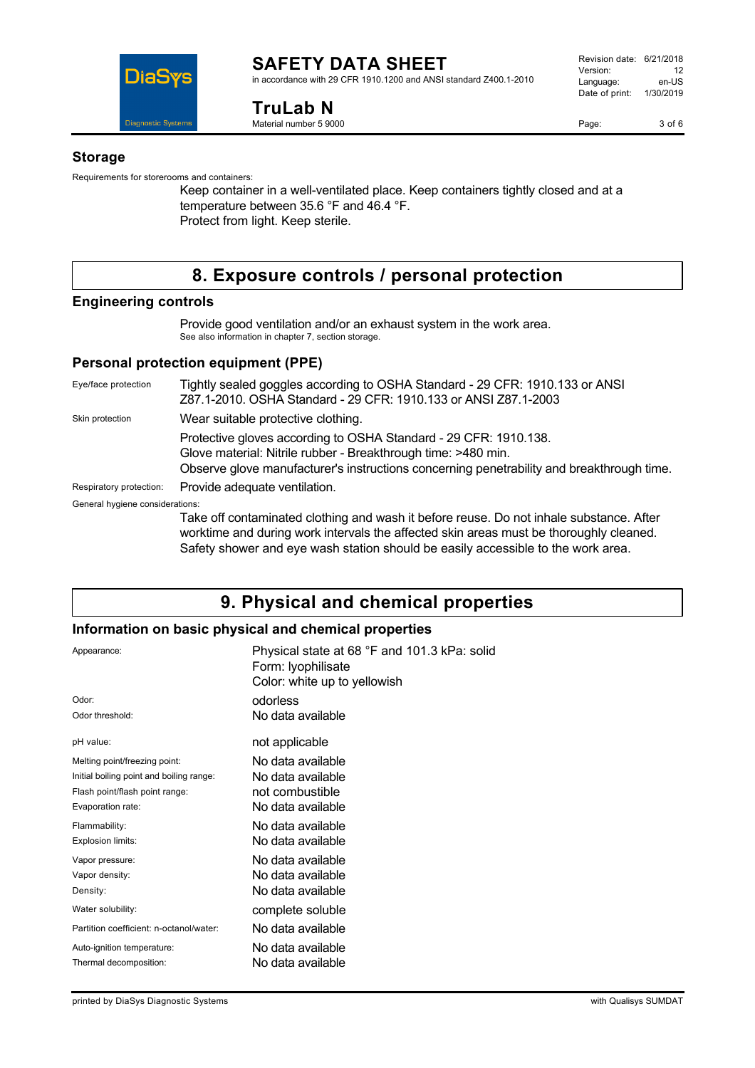

in accordance with 29 CFR 1910.1200 and ANSI standard Z400.1-2010

**TruLab N** Material number 5 9000

Page: 3 of 6

#### **Storage**

Requirements for storerooms and containers:

Keep container in a well-ventilated place. Keep containers tightly closed and at a temperature between 35.6 °F and 46.4 °F. Protect from light. Keep sterile.

# **8. Exposure controls / personal protection**

### **Engineering controls**

Provide good ventilation and/or an exhaust system in the work area. See also information in chapter 7, section storage.

### **Personal protection equipment (PPE)**

Eye/face protection Tightly sealed goggles according to OSHA Standard - 29 CFR: 1910.133 or ANSI Z87.1-2010. OSHA Standard - 29 CFR: 1910.133 or ANSI Z87.1-2003 Skin protection **Wear suitable protective clothing.** Protective gloves according to OSHA Standard - 29 CFR: 1910.138. Glove material: Nitrile rubber - Breakthrough time: >480 min. Observe glove manufacturer's instructions concerning penetrability and breakthrough time. Respiratory protection: Provide adequate ventilation. General hygiene considerations: Take off contaminated clothing and wash it before reuse. Do not inhale substance. After worktime and during work intervals the affected skin areas must be thoroughly cleaned.

Safety shower and eye wash station should be easily accessible to the work area.

# **9. Physical and chemical properties**

### **Information on basic physical and chemical properties**

| Appearance:                              | Physical state at 68 °F and 101.3 kPa: solid<br>Form: Iyophilisate<br>Color: white up to yellowish |
|------------------------------------------|----------------------------------------------------------------------------------------------------|
| Odor:                                    | odorless                                                                                           |
| Odor threshold:                          | No data available                                                                                  |
| pH value:                                | not applicable                                                                                     |
| Melting point/freezing point:            | No data available                                                                                  |
| Initial boiling point and boiling range: | No data available                                                                                  |
| Flash point/flash point range:           | not combustible                                                                                    |
| Evaporation rate:                        | No data available                                                                                  |
| Flammability:                            | No data available                                                                                  |
| Explosion limits:                        | No data available                                                                                  |
| Vapor pressure:                          | No data available                                                                                  |
| Vapor density:                           | No data available                                                                                  |
| Density:                                 | No data available                                                                                  |
| Water solubility:                        | complete soluble                                                                                   |
| Partition coefficient: n-octanol/water:  | No data available                                                                                  |
| Auto-ignition temperature:               | No data available                                                                                  |
| Thermal decomposition:                   | No data available                                                                                  |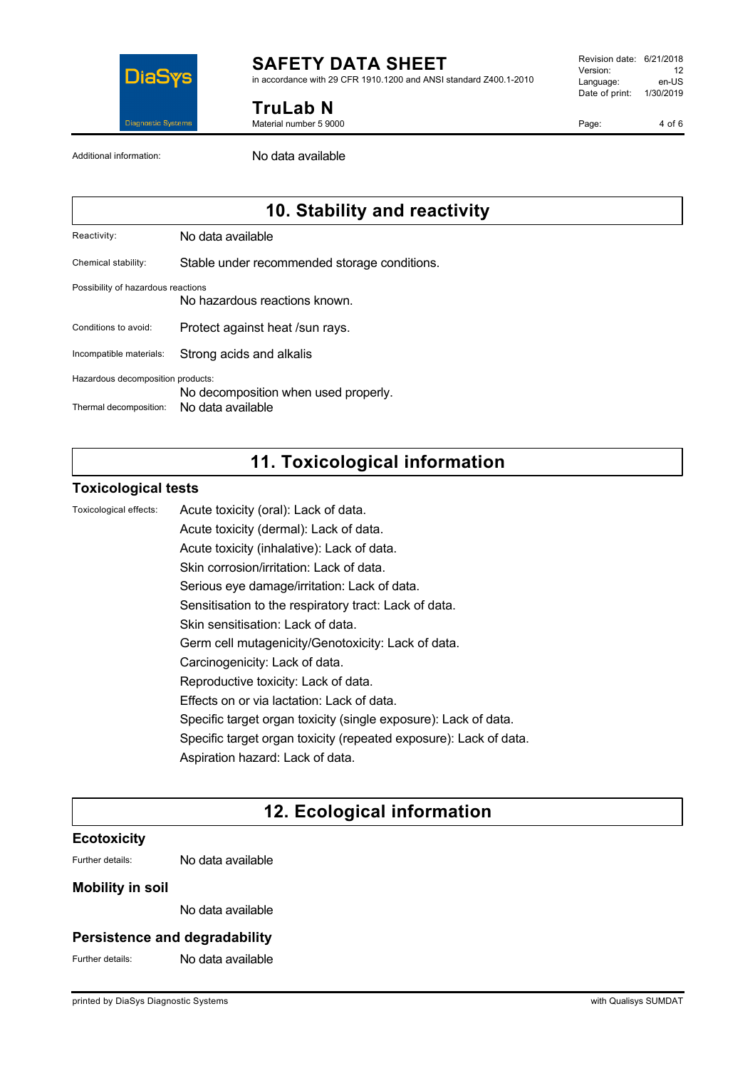

in accordance with 29 CFR 1910.1200 and ANSI standard Z400.1-2010

**TruLab N** Material number 5 9000 Revision date: 6/21/2018 Version: 12<br>Language: en-LIS Language: Date of print: 1/30/2019

Page: 4 of 6

Additional information: No data available

# **10. Stability and reactivity**

Reactivity: No data available

Chemical stability: Stable under recommended storage conditions.

#### Possibility of hazardous reactions

No hazardous reactions known.

Conditions to avoid: Protect against heat /sun rays.

Incompatible materials: Strong acids and alkalis

Hazardous decomposition products:

No decomposition when used properly.

Thermal decomposition: No data available

# **11. Toxicological information**

### **Toxicological tests**

Toxicological effects: Acute toxicity (oral): Lack of data.

Acute toxicity (dermal): Lack of data. Acute toxicity (inhalative): Lack of data.

Skin corrosion/irritation: Lack of data.

Serious eye damage/irritation: Lack of data.

Sensitisation to the respiratory tract: Lack of data.

Skin sensitisation: Lack of data.

Germ cell mutagenicity/Genotoxicity: Lack of data.

- Carcinogenicity: Lack of data.
- Reproductive toxicity: Lack of data.

Effects on or via lactation: Lack of data.

Specific target organ toxicity (single exposure): Lack of data.

Specific target organ toxicity (repeated exposure): Lack of data.

Aspiration hazard: Lack of data.

# **12. Ecological information**

### **Ecotoxicity**

Further details: No data available

### **Mobility in soil**

No data available

### **Persistence and degradability**

Further details: No data available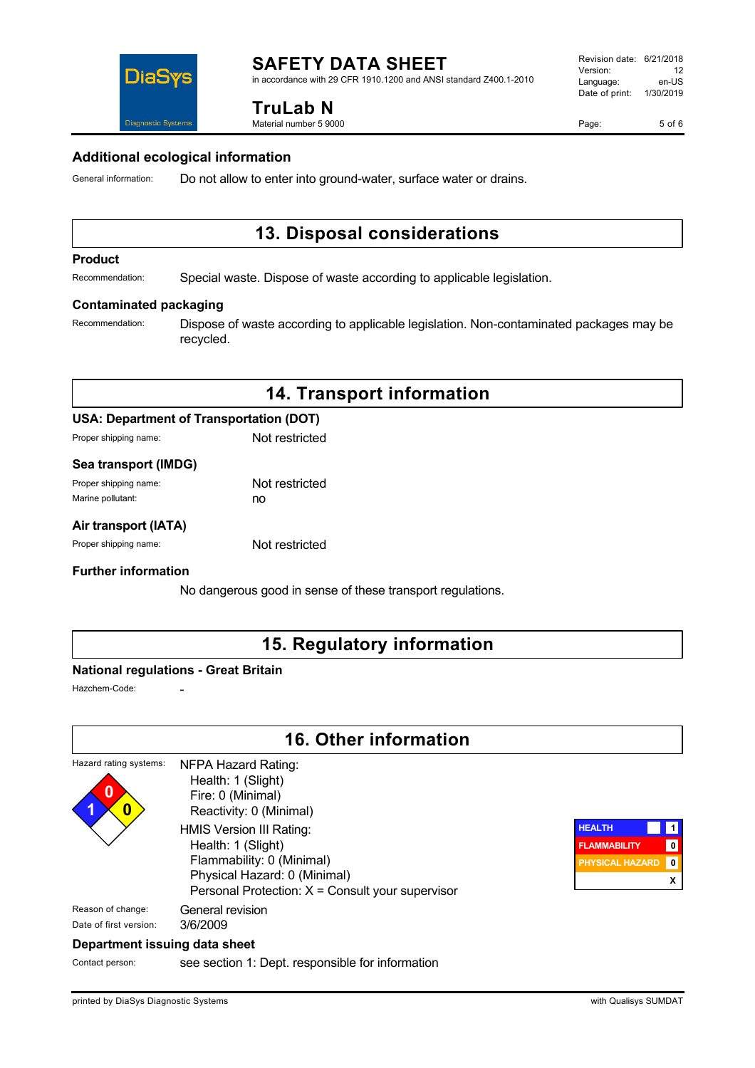in accordance with 29 CFR 1910.1200 and ANSI standard Z400.1-2010

# DiaS **Diannostic System:**

**TruLab N** Material number 5 9000

### **Additional ecological information**

General information: Do not allow to enter into ground-water, surface water or drains.

# **13. Disposal considerations**

#### **Product**

Recommendation: Special waste. Dispose of waste according to applicable legislation.

#### **Contaminated packaging**

Recommendation: Dispose of waste according to applicable legislation. Non-contaminated packages may be recycled.

# **14. Transport information**

### **USA: Department of Transportation (DOT)**

Proper shipping name: Not restricted

#### **Sea transport (IMDG)**

| Proper shipping name: | Not restricted |
|-----------------------|----------------|
| Marine pollutant:     | no             |

### **Air transport (IATA)**

Proper shipping name: Not restricted

#### **Further information**

No dangerous good in sense of these transport regulations.

# **15. Regulatory information**

### **National regulations - Great Britain**

Hazchem-Code:

# **16. Other information**

#### Hazard rating systems: **0 1 0** NFPA Hazard Rating: Health: 1 (Slight) Fire: 0 (Minimal) Reactivity: 0 (Minimal) HMIS Version III Rating: Health: 1 (Slight) Flammability: 0 (Minimal) Physical Hazard: 0 (Minimal) Personal Protection: X = Consult your supervisor Reason of change: General revision Date of first version: 3/6/2009



#### **Department issuing data sheet**

Contact person: see section 1: Dept. responsible for information